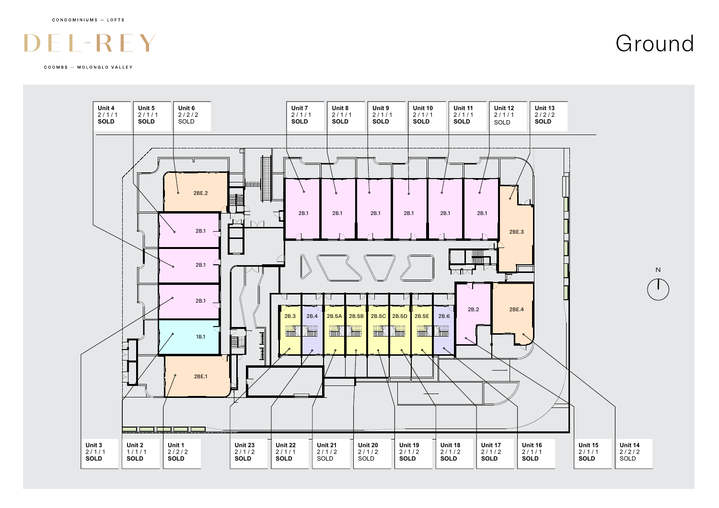COOMBS - MOLONGLO VALLEY



Ground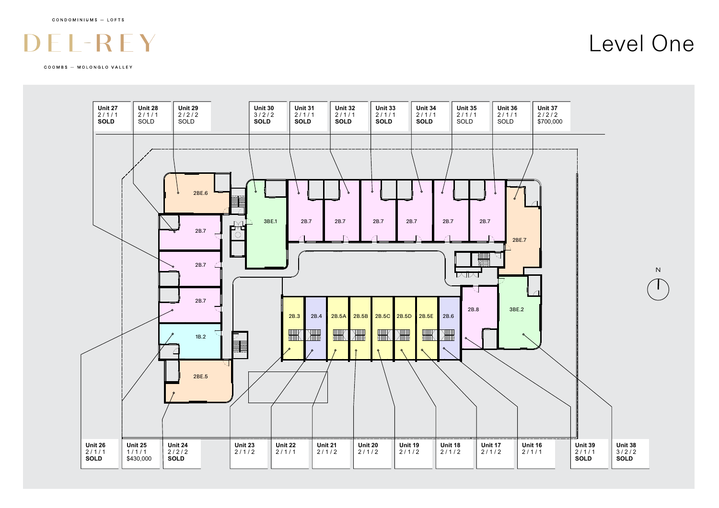

COOMBS - MOLONGLO VALLEY

Level One

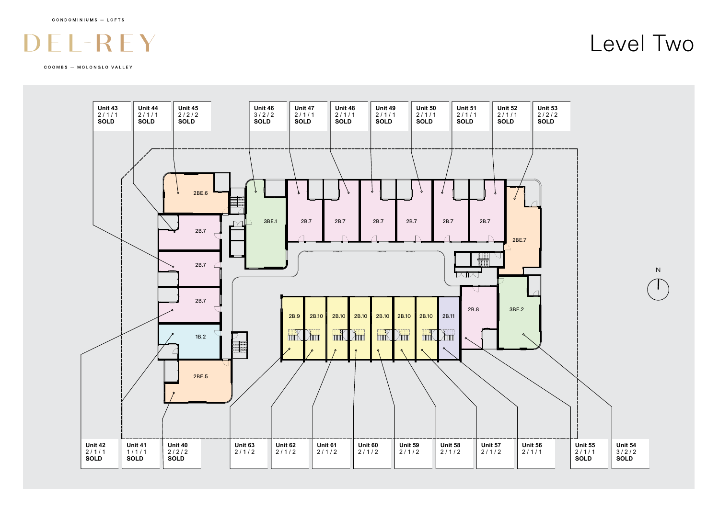# $\overline{\phantom{a}}$

COOMBS - MOLONGLO VALLEY



### Level Two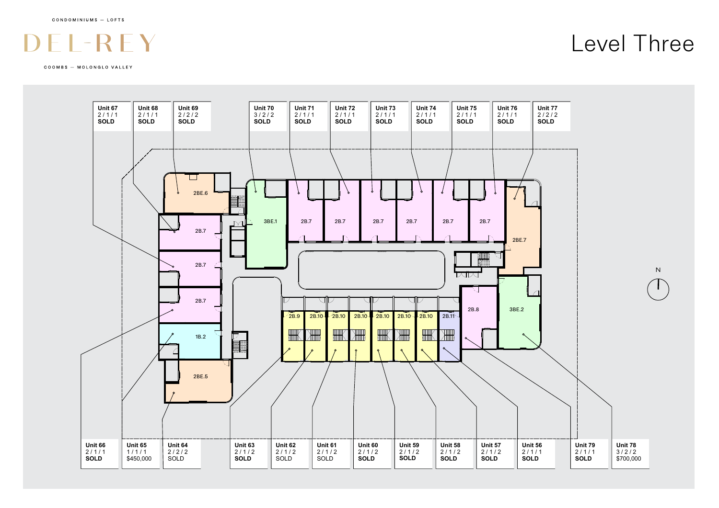# $\overline{\phantom{a}}$

COOMBS - MOLONGLO VALLEY

## Level Three

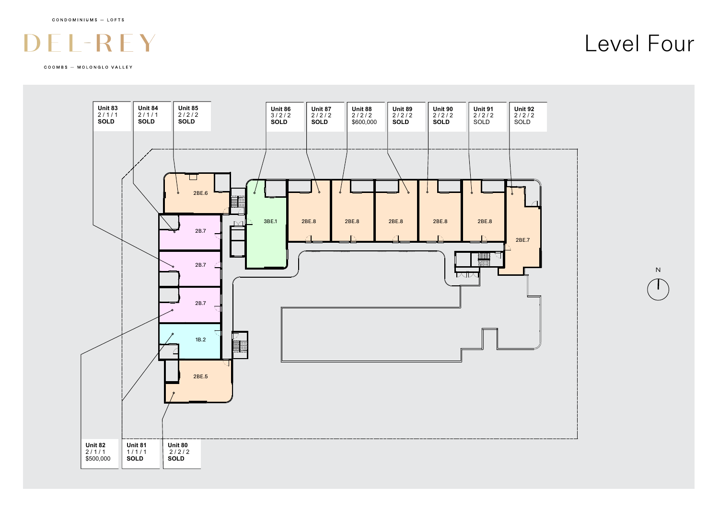#### $\mathcal{L}$  $\mathcal{L}$

COOMBS - MOLONGLO VALLEY



Level Four

N